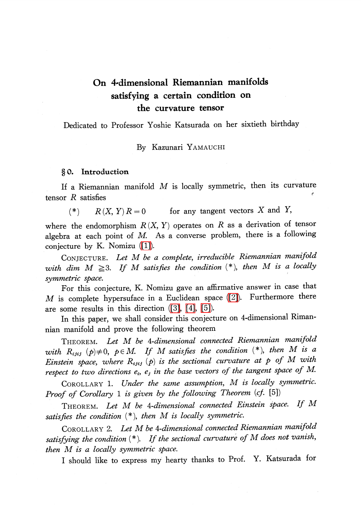# On 4-dimensional Riemannian manifolds satisfying a certain condition on the curvature tensor

Dedicated to Professor Yoshie Katsurada on her sixtieth birthday

By Kazunari YAMAUCHI

## § 0. Introduction

If a Riemannian manifold  $M$  is locally symmetric, then its curvature tensor  $R$  satisfies

(\*)  $R(X, Y)R=0$  for any tangent vectors X and Y,

where the endomorphism  $R(X, Y)$  operates on R as a derivation of tensor algebra at each point of  $M$ . As a converse problem, there is a following conjecture by K. Nomizu [\(\[1\]\)](#page-5-0).

CONJECTURE. Let M be a complete, irreducible Riemannian manifold with dim  $M \geq 3$ . If M satisfies the condition  $(*)$ , then M is a locally symmetric space.

For this conjecture, K. Nomizu gave an affirmative answer in case that  $M$  is complete hypersuface in a Euclidean space [\(\[2\]\)](#page-5-1). Furthermore there are some results in this direction [\(\[3\],](#page-5-2) [\[4\],](#page-5-3) [\[5\]\)](#page-6-0).

In this paper, we shall consider this conjecture on 4-dimensional Rimannian manifold and prove the following theorem

<span id="page-0-0"></span>THEOREM. Let M be 4-dimensional connected Riemannian manifold with  $R_{ijij}(p)\neq 0$ ,  $p\in M$ . If M satisfies the condition (\*), then M is a Einstein space, where  $R_{ijij}(p)$  is the sectional curvature at p of M with respect to two directions  $e_{i}$ ,  $e_{j}$  in the base vectors of the tangent space of M.

COROLLARY 1. Under the same assumption, M is locally symmetric. Proof of Corollary 1 is given by the following Theorem (cf. [5])

THEOREM. Let M be 4-dimensional connected Einstein space. If M satisfies the condition  $(*),$  then M is locally symmetric.

COROLLARY 2. Let M be 4-dimensional connected Riemannian manifold satisfying the condition  $(*)$ . If the sectional curvature of  $M$  does not vanish, then M is a locally symmetric space.

<sup>I</sup> should like to express my hearty thanks to Prof. Y. Katsurada for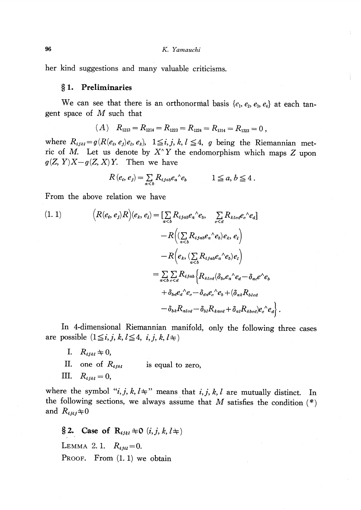her kind suggestions and many valuable criticisms.

#### \S 1. Preliminaries

We can see that there is an orthonormal basis  $\{e_{1}, e_{2}, e_{3}, e_{4}\}$  at each tangent space of  $M$  such that

$$
(A) \quad R_{1213} = R_{1214} = R_{1223} = R_{1224} = R_{1314} = R_{1323} = 0,
$$

where  $R_{ijkl}=g(R(e_{i}, e_{j})e_{l}, e_{k}), \ \ 1\leq i,j,k,l\leq 4, \ \ g$  being the Riemannian metric of M. Let us denote by  $X^{\wedge}Y$  the endomorphism which maps Z upon  $g(Z, Y)X-g(Z, X)Y$ . Then we have

$$
R(e_i, e_j) = \sum_{a
$$

From the above relation we have

(1. 1)  
\n
$$
(R(e_i, e_j)R)(e_k, e_i) = \left[\sum_{a < b} R_{ijab}e_a{}^{\wedge} e_b, \sum_{c < d} R_{klcd}e_c{}^{\wedge} e_d\right]
$$
\n
$$
-R\left((\sum_{a < b} R_{ijab}e_a{}^{\wedge} e_b)e_k, e_i\right)
$$
\n
$$
-R\left(e_k, (\sum_{a < b} R_{ijab}e_a{}^{\wedge} e_b)e_l\right)
$$
\n
$$
= \sum_{a < b} \sum_{c < d} R_{ijab} \left\{R_{klcd}(\delta_{bc}e_a{}^{\wedge} e_d - \delta_{ac}e^{\wedge} e_b + \delta_{bd}e_a{}^{\wedge} e_c - \delta_{ad}e_a{}^{\wedge} e_b + \delta_{ak}R_{b}e_d\right\}
$$
\n
$$
- \delta_{bk}R_{alcd} - \delta_{bl}R_{kacd} + \delta_{al}R_{kbcd}\left(e_a{}^{\wedge} e_d\right)
$$

In 4-dimensional Riemannian manifold, only the following three cases are possible  $(1\leq i, j, k, l \leq 4, i, j, k, l\pm)$ 

- I.  $R_{ijkl}\neq 0$ ,
- II. one of  $R_{ijkl}$  is equal to zero,
- III.  $R_{ijkl}=0$ ,

where the symbol " $i, j, k, l \rightleftharpoons$ " means that  $i, j, k, l$  are mutually distinct. In the following sections, we always assume that M satisfies the condition  $(*)$ and  $R_{ijij}\n\neq 0$ 

 $\S$  2. Case of  $\mathrm{R}_{\text{ijkl}}\neq \mathrm{O} \ (i,j,k,l\pm)$ 

LEMMA 2.1.  $R_{ijil}=0$ .

PROOF. From  $(1, 1)$  we obtain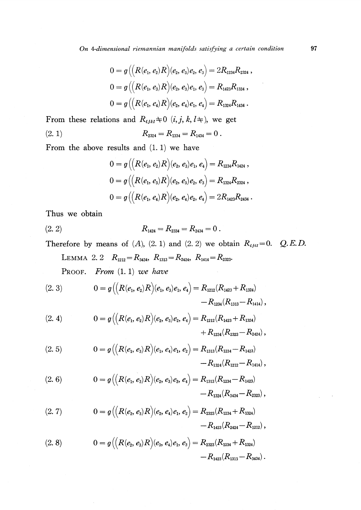On 4-dimensional riemannian manifolds satisfying a certain condition 97

$$
\begin{aligned} 0&=g\big(\big(R(e_1,e_2)R\big)(e_2,e_3)e_2,e_3\big)=2R_{1234}R_{2324}\,,\\ 0&=g\big(\big(R(e_1,e_3)R\big)(e_2,e_3)e_1,e_3\big)=R_{1423}R_{1334}\,,\\ 0&=g\big(\big(R(e_1,e_4)R\big)(e_2,e_4)e_1,e_4\big)=R_{1324}R_{1434}\,. \end{aligned}
$$

From these relations and  $R_{ijkl}\neq 0$   $(i, j, k, l\pm)$ , we get

(2. 1)  $R_{2324}=R_{1334}=R_{1434}=0$ .

From the above results and (1. 1) we have

$$
0 = g\left((R(e_1, e_2)R)(e_2, e_3)e_1, e_4\right) = R_{1234}R_{1424},
$$
  
\n
$$
0 = g\left((R(e_1, e_3)R)(e_2, e_3)e_2, e_3\right) = R_{1324}R_{2324},
$$
  
\n
$$
0 = g\left((R(e_1, e_4)R)(e_2, e_4)e_2, e_4\right) = 2R_{1423}R_{2434}.
$$

Thus we obtain

$$
(2. 2) \t R_{1424} = R_{2334} = R_{2434} = 0.
$$

Therefore by means of  $(A)$ ,  $(2. 1)$  and  $(2. 2)$  we obtain  $R_{ijil}=0$ . Q.E.D.

<span id="page-2-0"></span>LEMMA 2. 2 
$$
R_{1212} = R_{3434}
$$
,  $R_{1313} = R_{2424}$ ,  $R_{1414} = R_{2323}$ .  
PROOF. *From* (1. 1) we have

(2. 3) 
$$
0 = g\left(\left(R(e_1, e_2)R\right)(e_1, e_3)e_1, e_4\right) = R_{1212}(R_{1423} + R_{1324}) - R_{1234}(R_{1313} - R_{1414}),
$$

(2. 4) 
$$
0 = g\left(\left(R(e_1, e_2)R\right)(e_2, e_3)e_2, e_4\right) = R_{1212}(R_{1423} + R_{1324}) + R_{1234}(R_{2323} - R_{2424}),
$$

(2. 5) 
$$
0 = g\Big(\Big(R(e_1, e_3)R\Big)(e_1, e_4)e_1, e_2\Big) = R_{1313}(R_{1234} - R_{1423}) - R_{1324}(R_{1212} - R_{1414}),
$$

(2. 6) 
$$
0 = g\left((R(e_1, e_3)R)(e_2, e_3)e_3, e_4\right) = R_{1313}(R_{1234} - R_{1423}) - R_{1324}(R_{3434} - R_{2323}),
$$

(2. 7) 
$$
0 = g\left(\left(R(e_2, e_3)R\right)(e_2, e_4)e_1, e_2\right) = R_{2323}(R_{1234} + R_{1324}) - R_{1423}(R_{2424} - R_{1212}),
$$

(2. 8) 
$$
0 = g\Big(\Big(R(e_2, e_3)R\Big)(e_3, e_4)e_1, e_3\Big) = R_{2323}(R_{1234} + R_{1324}) - R_{1423}(R_{1313} - R_{3434}).
$$

 $\mathcal{L}$ 

 $\mathcal{L}_{\rm{max}}$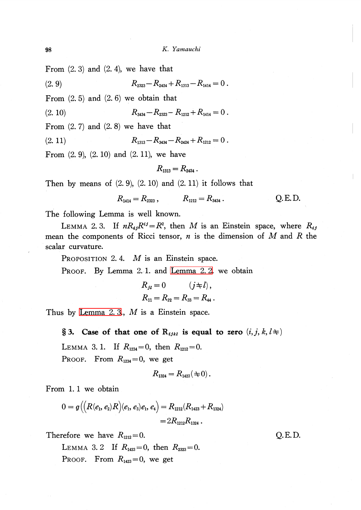From  $(2, 3)$  and  $(2, 4)$ , we have that

(2. 9)  $R_{2323}-R_{2424}+R_{1313}-R_{1414}=0$ .

From  $(2.5)$  and  $(2.6)$  we obtain that

(2. 10)  $R_{3434}-R_{2323}-R_{1212}+R_{1414}=0$ .

From  $(2.7)$  and  $(2.8)$  we have that

(2. 11)  $R_{1313}-R_{3434}-R_{2424}+R_{1212}=0$ .

From (2. 9), (2. 10) and (2. 11), we have

$$
R_{1313}=R_{2424}.
$$

Then by means of  $(2, 9)$ ,  $(2, 10)$  and  $(2, 11)$  it follows that

$$
R_{1414} = R_{2323}, \qquad R_{1212} = R_{3434}. \qquad Q.E.D.
$$

The following Lemma is well known.

<span id="page-3-0"></span>LEMMA 2.3. If  $nR_{ij}R^{ij}=R^{2}$ , then M is an Einstein space, where  $R_{ij}$ mean the components of Ricci tensor,  $n$  is the dimension of  $M$  and  $R$  the scalar curvature.

PROPOSITION 2.4.  $M$  is an Einstein space.

PROOF. By Lemma 2. 1. and [Lemma](#page-2-0) 2. 2. we obtain

$$
R_{j1} = 0 \t (j \neq l),
$$
  
\n
$$
R_{11} = R_{22} = R_{33} = R_{44}.
$$

Thus by [Lemma](#page-3-0) 2.3.,  $M$  is a Einstein space.

§ 3. Case of that one of  $\mathbf{R}_{ijkl}$  is equal to zero  $(i, j, k, l\pm)$ 

LEMMA 3.1. If  $R_{1234}=0$ , then  $R_{1212}=0$ .

PROOF. From  $R_{1234}=0$ , we get

$$
R_{1324}=R_{1423}(\pm 0).
$$

From 1. <sup>1</sup> we obtain

$$
0 = g\big(\big(R(e_1, e_2)R\big)(e_1, e_3)e_1, e_4\big) = R_{1212}(R_{1423} + R_{1324})
$$
  
=  $2R_{1212}R_{1324}$ .

Therefore we have  $R_{1212}=0$ . Q. E. D.

LEMMA 3. 2 If  $R_{1423}=0$ , then  $R_{2323}=0$ . PROOF. From  $R_{1423}=0$ , we get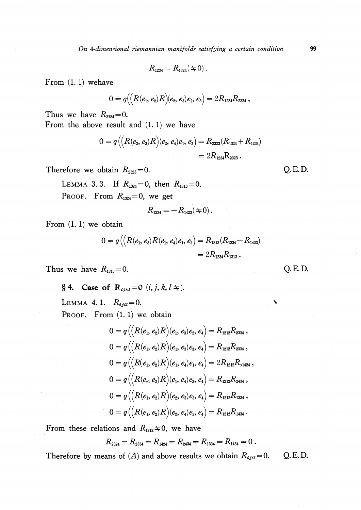On 4-dimensional riemannian manifolds satisfying a certain condition 99

 $R_{1234}=R_{1324}(\pm 0)$ .

From (1. 1) wehave

$$
0=g\big(\big(R(e_1,e_2)R\big)(e_2,e_3)e_2,e_3\big)=2R_{1234}R_{2324}\,,
$$

Thus we have  $R_{2324}=0$ . From the above result and (1. 1) we have

$$
\begin{aligned} 0 = g\big(\!\!\left(R(e_2,e_3)R\right)\!\!\left(e_2,e_4\right)\!e_1,e_2\big) & = R_{2323}(R_{1324}\!+R_{1234}) \\ & = 2R_{1234}\mathrm{R}_{2323}\,. \end{aligned}
$$

Therefore we obtain  $R_{2323}=0$ . Q.E.D.

PROOF. From  $R_{1324}=0$ , we get LEMMA 3. 3. If  $R_{1324}=0$ , then  $R_{1313}=0$ .

$$
R_{1234} = -R_{1423}(\pm 0).
$$

From (1. 1) we obtain

$$
0 = g\big(\big(R(e_1, e_3)R(e_1, e_4)e_1, e_2\big) = R_{1313}(R_{1234} - R_{1423})
$$
  
=  $2R_{1234}R_{1313}$ .

Thus we have  $R_{1313}=0$ . Q. E. D.

 $\S 4.$  Case of  $\mathrm{R}_{\text{ijkl}}=0$   $(i, j, k, l\pm).$ 

LEMMA 4.1.  $R_{ijii}=0$ .

PROOF. From  $(1.1)$  we obtain

$$
0 = g\left((R(e_1, e_2)R)(e_1, e_3)e_2, e_4\right) = R_{1212}R_{2334},
$$
  
\n
$$
0 = g\left((R(e_1, e_2)R)(e_1, e_3)e_3, e_4\right) = R_{1212}R_{2334},
$$
  
\n
$$
0 = g\left((R(e_1, e_2)R)(e_1, e_4)e_1, e_4\right) = 2R_{1212}R_{,1424},
$$
  
\n
$$
0 = g\left((R(e_1, e_2)R)(e_1, e_4)e_3, e_4\right) = R_{1212}R_{2434},
$$
  
\n
$$
0 = g\left((R(e_1, e_2)R)(e_2, e_3)e_3, e_4\right) = R_{1212}R_{1334},
$$
  
\n
$$
0 = g\left((R(e_1, e_2)R)(e_2, e_4)e_3, e_4\right) = R_{1212}R_{1434}.
$$

From these relations and  $R_{1212}\n\div 0$ , we have

$$
R_{2324}=R_{2334}=R_{1424}=R_{2434}=R_{1334}=R_{1434}=0.
$$

Therefore by means of (A) and above results we obtain  $R_{ijil}=0$ . Q.E.D.

 $\cdot$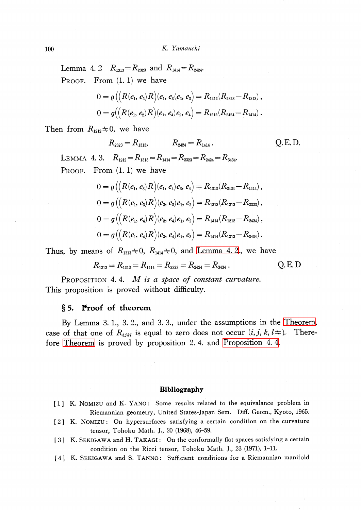<span id="page-5-4"></span>Lemma 4. 2  $R_{1313}=R_{2323}$  and  $R_{1414}=R_{2424}$ . PROOF. From  $(1, 1)$  we have

$$
0 = g\big(\big(R(e_1, e_2)R\big)(e_1, e_3(e_2, e_3) = R_{1212}(R_{2323} - R_{1313}),
$$
  
\n
$$
0 = g\big(\big(R(e_1, e_2)R\big)(e_1, e_4)e_2, e_4\big) = R_{1212}(R_{2424} - R_{1414}).
$$

Then from  $R_{1212}\n\neq 0$ , we have

$$
R_{2323} = R_{1313}, \t R_{2424} = R_{1414}. \t Q.E.D.
$$

LEMMA 4. 3.  $R_{1212}=R_{1313}=R_{1414}=R_{2323}=R_{2424}=R_{3434}.$ PROOF. From  $(1, 1)$  we have

$$
0 = g\big(\big(R(e_1, e_3)R\big)(e_1, e_4)e_3, e_4\big) = R_{1313}(R_{3434} - R_{1414}),
$$
  
\n
$$
0 = g\big(\big(R(e_1, e_3)R\big)(e_2, e_3)e_1, e_2\big) = R_{1313}(R_{1212} - R_{2323}),
$$
  
\n
$$
0 = g\big(\big(R(e_1, e_4)R\big)(e_2, e_4)e_1, e_2\big) = R_{1414}(R_{1212} - R_{2424}),
$$
  
\n
$$
0 = g\big(\big(R(e_1, e_4)R\big)(e_3, e_4)e_1, e_3\big) = R_{1414}(R_{1313} - R_{3434}).
$$

Thus, by means of  $R_{1313}\neq 0$ ,  $R_{1414}\neq 0$ , and [Lemma](#page-5-4) 4. 2., we have

$$
R_{1212} = R_{1313} = R_{1414} = R_{2323} = R_{2424} = R_{3434} .
$$
 Q.E.D

<span id="page-5-5"></span>PROPOSITION 4.4.  $M$  is a space of constant curvature. This proposition is proved without difficulty.

### \S 5. Proof of theorem

By Lemma 3. 1., 3. 2., and 3. 3., under the assumptions in the [Theorem,](#page-0-0) case of that one of  $R_{ijkl}$  is equal to zero does not occur  $(i,j,k,l\pm)$ . Therefore [Theorem](#page-0-0) is proved by proposition 2. 4. and [Proposition](#page-5-5) 4. 4.

#### Bibliography

- <span id="page-5-0"></span>[1] K. NOMIZU and K. YANO: Some results related to the equivalance problem in Riemannian geometry, United States-Japan Sem. Diff. Geom., Kyoto, 1965.
- <span id="page-5-1"></span>[2] K. NOMIZU: On hypersurfaces satisfying <sup>a</sup> certain condition on the curvature tensor, Tohoku Math. J., 20 (1968), 46-59.
- <span id="page-5-2"></span>[3] K. SEKIGAWA and H. TAKAGI: On the conformally flat spaces satisfying <sup>a</sup> certain condition on the Ricci tensor, Tohoku Math. J., 23 (1971), 1-11.
- <span id="page-5-3"></span>[4] K. SEKIGAWA and S. TANNO: Sufficient conditions for <sup>a</sup> Riemannian manifold